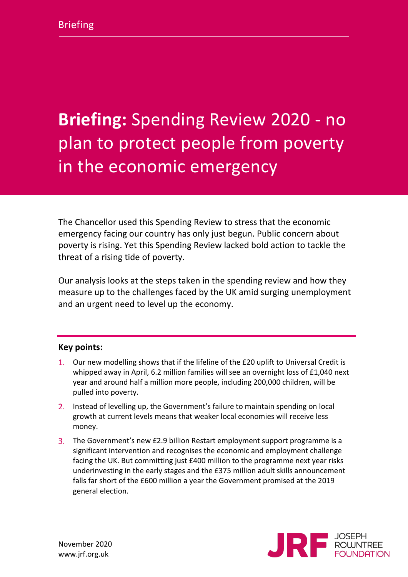# **Briefing:** Spending Review 2020 - no plan to protect people from poverty in the economic emergency

The Chancellor used this Spending Review to stress that the economic emergency facing our country has only just begun. Public concern about poverty is rising. Yet this Spending Review lacked bold action to tackle the threat of a rising tide of poverty.

Our analysis looks at the steps taken in the spending review and how they measure up to the challenges faced by the UK amid surging unemployment and an urgent need to level up the economy.

#### **Key points:**

- Our new modelling shows that if the lifeline of the £20 uplift to Universal Credit is whipped away in April, 6.2 million families will see an overnight loss of £1,040 next year and around half a million more people, including 200,000 children, will be pulled into poverty.
- 2. Instead of levelling up, the Government's failure to maintain spending on local growth at current levels means that weaker local economies will receive less money.
- 3. The Government's new £2.9 billion Restart employment support programme is a significant intervention and recognises the economic and employment challenge facing the UK. But committing just £400 million to the programme next year risks underinvesting in the early stages and the £375 million adult skills announcement falls far short of the £600 million a year the Government promised at the 2019 general election.

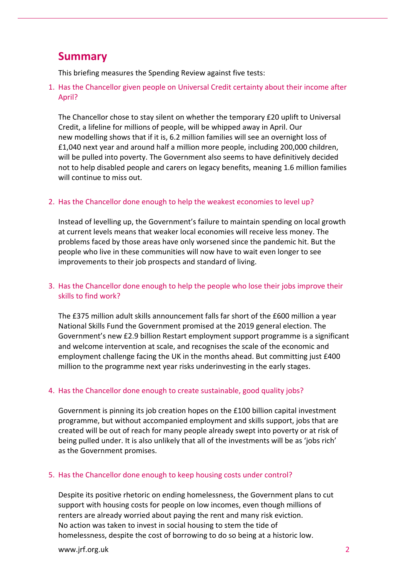# **Summary**

This briefing measures the Spending Review against five tests:

1. Has the Chancellor given people on Universal Credit certainty about their income after April?

The Chancellor chose to stay silent on whether the temporary £20 uplift to Universal Credit, a lifeline for millions of people, will be whipped away in April. Our new modelling shows that if it is, 6.2 million families will see an overnight loss of £1,040 next year and around half a million more people, including 200,000 children, will be pulled into poverty. The Government also seems to have definitively decided not to help disabled people and carers on legacy benefits, meaning 1.6 million families will continue to miss out.

#### 2. Has the Chancellor done enough to help the weakest economies to level up?

Instead of levelling up, the Government's failure to maintain spending on local growth at current levels means that weaker local economies will receive less money. The problems faced by those areas have only worsened since the pandemic hit. But the people who live in these communities will now have to wait even longer to see improvements to their job prospects and standard of living.

#### 3. Has the Chancellor done enough to help the people who lose their jobs improve their skills to find work?

The £375 million adult skills announcement falls far short of the £600 million a year National Skills Fund the Government promised at the 2019 general election. The Government's new £2.9 billion Restart employment support programme is a significant and welcome intervention at scale, and recognises the scale of the economic and employment challenge facing the UK in the months ahead. But committing just £400 million to the programme next year risks underinvesting in the early stages.

#### 4. Has the Chancellor done enough to create sustainable, good quality jobs?

Government is pinning its job creation hopes on the £100 billion capital investment programme, but without accompanied employment and skills support, jobs that are created will be out of reach for many people already swept into poverty or at risk of being pulled under. It is also unlikely that all of the investments will be as 'jobs rich' as the Government promises.

#### 5. Has the Chancellor done enough to keep housing costs under control?

Despite its positive rhetoric on ending homelessness, the Government plans to cut support with housing costs for people on low incomes, even though millions of renters are already worried about paying the rent and many risk eviction. No action was taken to invest in social housing to stem the tide of homelessness, despite the cost of borrowing to do so being at a historic low.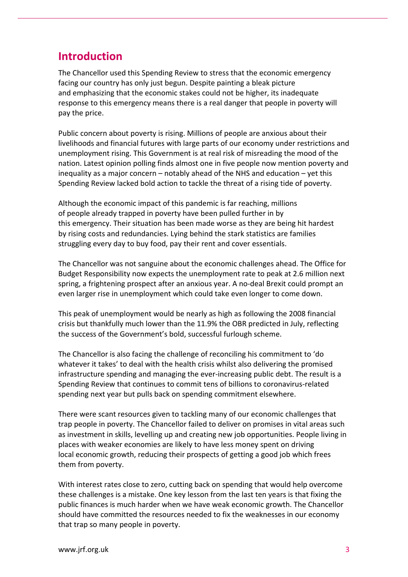# **Introduction**

The Chancellor used this Spending Review to stress that the economic emergency facing our country has only just begun. Despite painting a bleak picture and emphasizing that the economic stakes could not be higher, its inadequate response to this emergency means there is a real danger that people in poverty will pay the price.

Public concern about poverty is rising. Millions of people are anxious about their livelihoods and financial futures with large parts of our economy under restrictions and unemployment rising. This Government is at real risk of misreading the mood of the nation. Latest opinion polling finds almost one in five people now mention poverty and inequality as a major concern – notably ahead of the NHS and education – yet this Spending Review lacked bold action to tackle the threat of a rising tide of poverty.

Although the economic impact of this pandemic is far reaching, millions of people already trapped in poverty have been pulled further in by this emergency. Their situation has been made worse as they are being hit hardest by rising costs and redundancies. Lying behind the stark statistics are families struggling every day to buy food, pay their rent and cover essentials.

The Chancellor was not sanguine about the economic challenges ahead. The Office for Budget Responsibility now expects the unemployment rate to peak at 2.6 million next spring, a frightening prospect after an anxious year. A no-deal Brexit could prompt an even larger rise in unemployment which could take even longer to come down.

This peak of unemployment would be nearly as high as following the 2008 financial crisis but thankfully much lower than the 11.9% the OBR predicted in July, reflecting the success of the Government's bold, successful furlough scheme.

The Chancellor is also facing the challenge of reconciling his commitment to 'do whatever it takes' to deal with the health crisis whilst also delivering the promised infrastructure spending and managing the ever-increasing public debt. The result is a Spending Review that continues to commit tens of billions to coronavirus-related spending next year but pulls back on spending commitment elsewhere.

There were scant resources given to tackling many of our economic challenges that trap people in poverty. The Chancellor failed to deliver on promises in vital areas such as investment in skills, levelling up and creating new job opportunities. People living in places with weaker economies are likely to have less money spent on driving local economic growth, reducing their prospects of getting a good job which frees them from poverty.

With interest rates close to zero, cutting back on spending that would help overcome these challenges is a mistake. One key lesson from the last ten years is that fixing the public finances is much harder when we have weak economic growth. The Chancellor should have committed the resources needed to fix the weaknesses in our economy that trap so many people in poverty.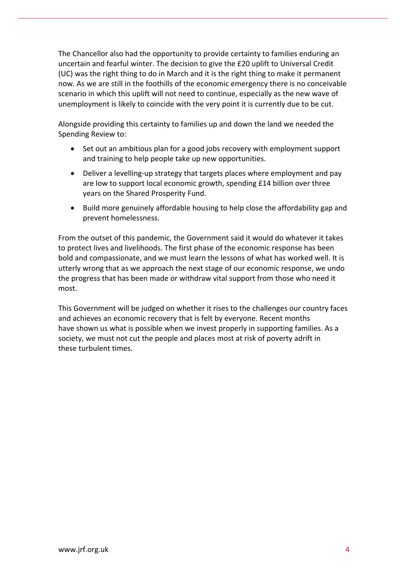The Chancellor also had the opportunity to provide certainty to families enduring an uncertain and fearful winter. The decision to give the £20 uplift to Universal Credit (UC) was the right thing to do in March and it is the right thing to make it permanent now. As we are still in the foothills of the economic emergency there is no conceivable scenario in which this uplift will not need to continue, especially as the new wave of unemployment is likely to coincide with the very point it is currently due to be cut.

Alongside providing this certainty to families up and down the land we needed the Spending Review to:

- Set out an ambitious plan for a good jobs recovery with employment support and training to help people take up new opportunities.
- Deliver a levelling-up strategy that targets places where employment and pay are low to support local economic growth, spending £14 billion over three years on the Shared Prosperity Fund.
- Build more genuinely affordable housing to help close the affordability gap and prevent homelessness.

From the outset of this pandemic, the Government said it would do whatever it takes to protect lives and livelihoods. The first phase of the economic response has been bold and compassionate, and we must learn the lessons of what has worked well. It is utterly wrong that as we approach the next stage of our economic response, we undo the progress that has been made or withdraw vital support from those who need it most.

This Government will be judged on whether it rises to the challenges our country faces and achieves an economic recovery that is felt by everyone. Recent months have shown us what is possible when we invest properly in supporting families. As a society, we must not cut the people and places most at risk of poverty adrift in these turbulent times.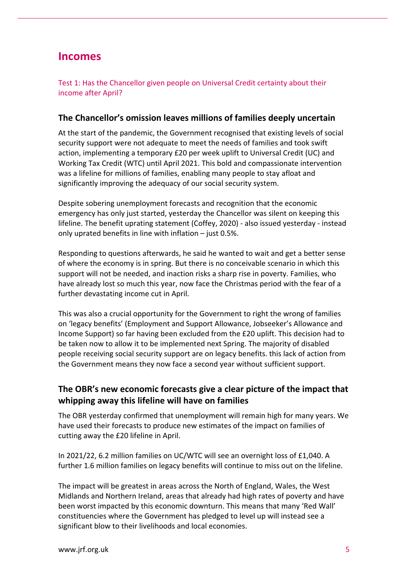# **Incomes**

Test 1: Has the Chancellor given people on Universal Credit certainty about their income after April?

#### **The Chancellor's omission leaves millions of families deeply uncertain**

At the start of the pandemic, the Government recognised that existing levels of social security support were not adequate to meet the needs of families and took swift action, implementing a temporary £20 per week uplift to Universal Credit (UC) and Working Tax Credit (WTC) until April 2021. This bold and compassionate intervention was a lifeline for millions of families, enabling many people to stay afloat and significantly improving the adequacy of our social security system.

Despite sobering unemployment forecasts and recognition that the economic emergency has only just started, yesterday the Chancellor was silent on keeping this lifeline. The benefit uprating statement (Coffey, 2020) - also issued yesterday - instead only uprated benefits in line with inflation – just 0.5%.

Responding to questions afterwards, he said he wanted to wait and get a better sense of where the economy is in spring. But there is no conceivable scenario in which this support will not be needed, and inaction risks a sharp rise in poverty. Families, who have already lost so much this year, now face the Christmas period with the fear of a further devastating income cut in April.

This was also a crucial opportunity for the Government to right the wrong of families on 'legacy benefits' (Employment and Support Allowance, Jobseeker's Allowance and Income Support) so far having been excluded from the £20 uplift. This decision had to be taken now to allow it to be implemented next Spring. The majority of disabled people receiving social security support are on legacy benefits. this lack of action from the Government means they now face a second year without sufficient support.

## **The OBR's new economic forecasts give a clear picture of the impact that whipping away this lifeline will have on families**

The OBR yesterday confirmed that unemployment will remain high for many years. We have used their forecasts to produce new estimates of the impact on families of cutting away the £20 lifeline in April.

In 2021/22, 6.2 million families on UC/WTC will see an overnight loss of £1,040. A further 1.6 million families on legacy benefits will continue to miss out on the lifeline.

The impact will be greatest in areas across the North of England, Wales, the West Midlands and Northern Ireland, areas that already had high rates of poverty and have been worst impacted by this economic downturn. This means that many 'Red Wall' constituencies where the Government has pledged to level up will instead see a significant blow to their livelihoods and local economies.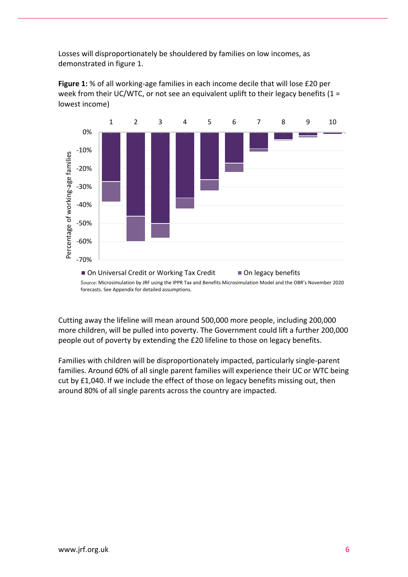Losses will disproportionately be shouldered by families on low incomes, as demonstrated in figure 1.



**Figure 1:** % of all working-age families in each income decile that will lose £20 per week from their UC/WTC, or not see an equivalent uplift to their legacy benefits ( $1 =$ lowest income)

Source: Microsimulation by JRF using the IPPR Tax and Benefits Microsimulation Model and the OBR's November 2020 forecasts. See Appendix for detailed assumptions.

Cutting away the lifeline will mean around 500,000 more people, including 200,000 more children, will be pulled into poverty. The Government could lift a further 200,000 people out of poverty by extending the £20 lifeline to those on legacy benefits.

Families with children will be disproportionately impacted, particularly single-parent families. Around 60% of all single parent families will experience their UC or WTC being cut by £1,040. If we include the effect of those on legacy benefits missing out, then around 80% of all single parents across the country are impacted.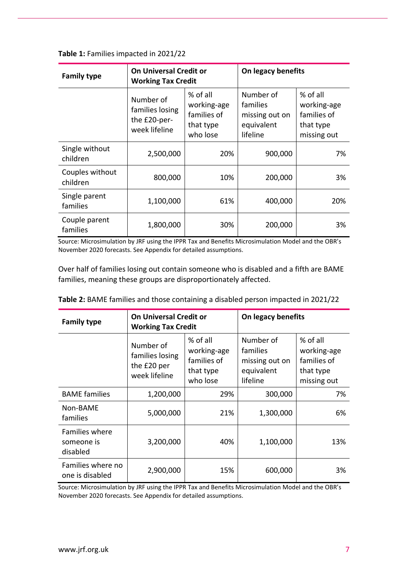| Table 1: Families impacted in 2021/22 |  |  |  |
|---------------------------------------|--|--|--|
|---------------------------------------|--|--|--|

| <b>Family type</b>          | <b>On Universal Credit or</b><br><b>Working Tax Credit</b>    |                                                                 | On legacy benefits                                                |                                                                    |  |
|-----------------------------|---------------------------------------------------------------|-----------------------------------------------------------------|-------------------------------------------------------------------|--------------------------------------------------------------------|--|
|                             | Number of<br>families losing<br>the £20-per-<br>week lifeline | % of all<br>working-age<br>families of<br>that type<br>who lose | Number of<br>families<br>missing out on<br>equivalent<br>lifeline | % of all<br>working-age<br>families of<br>that type<br>missing out |  |
| Single without<br>children  | 2,500,000                                                     | 20%                                                             | 900,000                                                           | 7%                                                                 |  |
| Couples without<br>children | 800,000                                                       | 10%                                                             | 200,000                                                           | 3%                                                                 |  |
| Single parent<br>families   | 1,100,000                                                     | 61%                                                             | 400,000                                                           | 20%                                                                |  |
| Couple parent<br>families   | 1,800,000                                                     | 30%                                                             | 200,000                                                           | 3%                                                                 |  |

Source: Microsimulation by JRF using the IPPR Tax and Benefits Microsimulation Model and the OBR's November 2020 forecasts. See Appendix for detailed assumptions.

Over half of families losing out contain someone who is disabled and a fifth are BAME families, meaning these groups are disproportionately affected.

| <b>Family type</b>                              | <b>On Universal Credit or</b><br><b>Working Tax Credit</b>   |                                                                 | On legacy benefits                                                |                                                                    |  |
|-------------------------------------------------|--------------------------------------------------------------|-----------------------------------------------------------------|-------------------------------------------------------------------|--------------------------------------------------------------------|--|
|                                                 | Number of<br>families losing<br>the £20 per<br>week lifeline | % of all<br>working-age<br>families of<br>that type<br>who lose | Number of<br>families<br>missing out on<br>equivalent<br>lifeline | % of all<br>working-age<br>families of<br>that type<br>missing out |  |
| <b>BAME</b> families                            | 1,200,000                                                    | 29%                                                             | 300,000                                                           | 7%                                                                 |  |
| Non-BAME<br>families                            | 5,000,000                                                    | 21%                                                             | 1,300,000                                                         | 6%                                                                 |  |
| <b>Families where</b><br>someone is<br>disabled | 3,200,000                                                    | 40%                                                             | 1,100,000                                                         | 13%                                                                |  |
| Families where no<br>one is disabled            | 2,900,000                                                    | 15%                                                             | 600,000                                                           | 3%                                                                 |  |

| Table 2: BAME families and those containing a disabled person impacted in 2021/22 |  |  |
|-----------------------------------------------------------------------------------|--|--|
|                                                                                   |  |  |

Source: Microsimulation by JRF using the IPPR Tax and Benefits Microsimulation Model and the OBR's November 2020 forecasts. See Appendix for detailed assumptions.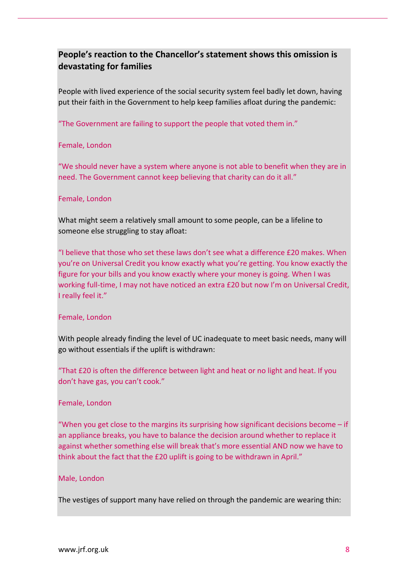# **People's reaction to the Chancellor's statement shows this omission is devastating for families**

People with lived experience of the social security system feel badly let down, having put their faith in the Government to help keep families afloat during the pandemic:

"The Government are failing to support the people that voted them in."

#### Female, London

"We should never have a system where anyone is not able to benefit when they are in need. The Government cannot keep believing that charity can do it all."

#### Female, London

What might seem a relatively small amount to some people, can be a lifeline to someone else struggling to stay afloat:

"I believe that those who set these laws don't see what a difference £20 makes. When you're on Universal Credit you know exactly what you're getting. You know exactly the figure for your bills and you know exactly where your money is going. When I was working full-time, I may not have noticed an extra £20 but now I'm on Universal Credit, I really feel it."

#### Female, London

With people already finding the level of UC inadequate to meet basic needs, many will go without essentials if the uplift is withdrawn:

"That £20 is often the difference between light and heat or no light and heat. If you don't have gas, you can't cook."

#### Female, London

"When you get close to the margins its surprising how significant decisions become  $-i$  f an appliance breaks, you have to balance the decision around whether to replace it against whether something else will break that's more essential AND now we have to think about the fact that the £20 uplift is going to be withdrawn in April."

#### Male, London

The vestiges of support many have relied on through the pandemic are wearing thin: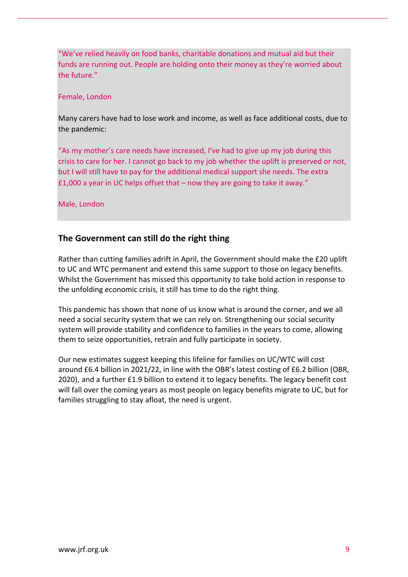"We've relied heavily on food banks, charitable donations and mutual aid but their funds are running out. People are holding onto their money as they're worried about the future."

#### Female, London

Many carers have had to lose work and income, as well as face additional costs, due to the pandemic:

"As my mother's care needs have increased, I've had to give up my job during this crisis to care for her. I cannot go back to my job whether the uplift is preserved or not, but I will still have to pay for the additional medical support she needs. The extra £1,000 a year in UC helps offset that – now they are going to take it away."

Male, London

## **The Government can still do the right thing**

Rather than cutting families adrift in April, the Government should make the £20 uplift to UC and WTC permanent and extend this same support to those on legacy benefits. Whilst the Government has missed this opportunity to take bold action in response to the unfolding economic crisis, it still has time to do the right thing.

This pandemic has shown that none of us know what is around the corner, and we all need a social security system that we can rely on. Strengthening our social security system will provide stability and confidence to families in the years to come, allowing them to seize opportunities, retrain and fully participate in society.

Our new estimates suggest keeping this lifeline for families on UC/WTC will cost around £6.4 billion in 2021/22, in line with the OBR's latest costing of £6.2 billion (OBR, 2020), and a further £1.9 billion to extend it to legacy benefits. The legacy benefit cost will fall over the coming years as most people on legacy benefits migrate to UC, but for families struggling to stay afloat, the need is urgent.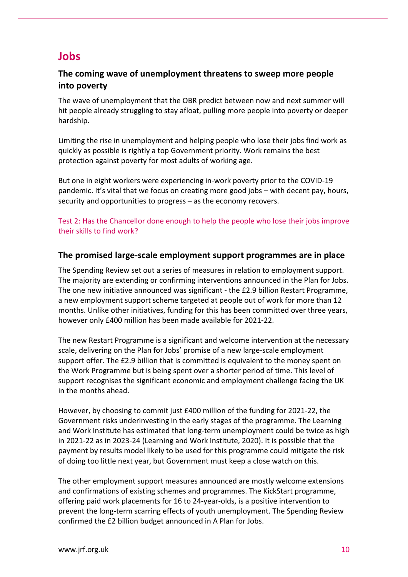# **Jobs**

## **The coming wave of unemployment threatens to sweep more people into poverty**

The wave of unemployment that the OBR predict between now and next summer will hit people already struggling to stay afloat, pulling more people into poverty or deeper hardship.

Limiting the rise in unemployment and helping people who lose their jobs find work as quickly as possible is rightly a top Government priority. Work remains the best protection against poverty for most adults of working age.

But one in eight workers were experiencing in-work poverty prior to the COVID-19 pandemic. It's vital that we focus on creating more good jobs – with decent pay, hours, security and opportunities to progress – as the economy recovers.

Test 2: Has the Chancellor done enough to help the people who lose their jobs improve their skills to find work?

#### **The promised large-scale employment support programmes are in place**

The Spending Review set out a series of measures in relation to employment support. The majority are extending or confirming interventions announced in the Plan for Jobs. The one new initiative announced was significant - the £2.9 billion Restart Programme, a new employment support scheme targeted at people out of work for more than 12 months. Unlike other initiatives, funding for this has been committed over three years, however only £400 million has been made available for 2021-22.

The new Restart Programme is a significant and welcome intervention at the necessary scale, delivering on the Plan for Jobs' promise of a new large-scale employment support offer. The £2.9 billion that is committed is equivalent to the money spent on the Work Programme but is being spent over a shorter period of time. This level of support recognises the significant economic and employment challenge facing the UK in the months ahead.

However, by choosing to commit just £400 million of the funding for 2021-22, the Government risks underinvesting in the early stages of the programme. The Learning and Work Institute has estimated that long-term unemployment could be twice as high in 2021-22 as in 2023-24 (Learning and Work Institute, 2020). It is possible that the payment by results model likely to be used for this programme could mitigate the risk of doing too little next year, but Government must keep a close watch on this.

The other employment support measures announced are mostly welcome extensions and confirmations of existing schemes and programmes. The KickStart programme, offering paid work placements for 16 to 24-year-olds, is a positive intervention to prevent the long-term scarring effects of youth unemployment. The Spending Review confirmed the £2 billion budget announced in A Plan for Jobs.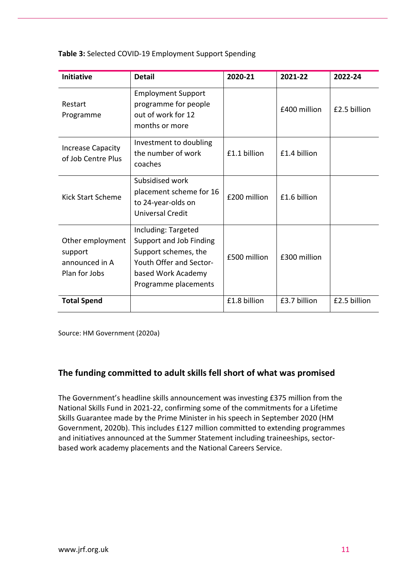| <b>Initiative</b>                                              | <b>Detail</b>                                                                                                                                   | 2020-21      | 2021-22      | 2022-24      |
|----------------------------------------------------------------|-------------------------------------------------------------------------------------------------------------------------------------------------|--------------|--------------|--------------|
| Restart<br>Programme                                           | <b>Employment Support</b><br>programme for people<br>out of work for 12<br>months or more                                                       |              | £400 million | £2.5 billion |
| <b>Increase Capacity</b><br>of Job Centre Plus                 | Investment to doubling<br>the number of work<br>coaches                                                                                         | £1.1 billion | £1.4 billion |              |
| <b>Kick Start Scheme</b>                                       | Subsidised work<br>placement scheme for 16<br>to 24-year-olds on<br><b>Universal Credit</b>                                                     | £200 million | £1.6 billion |              |
| Other employment<br>support<br>announced in A<br>Plan for Jobs | Including: Targeted<br>Support and Job Finding<br>Support schemes, the<br>Youth Offer and Sector-<br>based Work Academy<br>Programme placements | £500 million | £300 million |              |
| <b>Total Spend</b>                                             |                                                                                                                                                 | £1.8 billion | £3.7 billion | £2.5 billion |

**Table 3:** Selected COVID-19 Employment Support Spending

Source: HM Government (2020a)

#### **The funding committed to adult skills fell short of what was promised**

The Government's headline skills announcement was investing £375 million from the National Skills Fund in 2021-22, confirming some of the commitments for a Lifetime Skills Guarantee made by the Prime Minister in his speech in September 2020 (HM Government, 2020b). This includes £127 million committed to extending programmes and initiatives announced at the Summer Statement including traineeships, sectorbased work academy placements and the National Careers Service.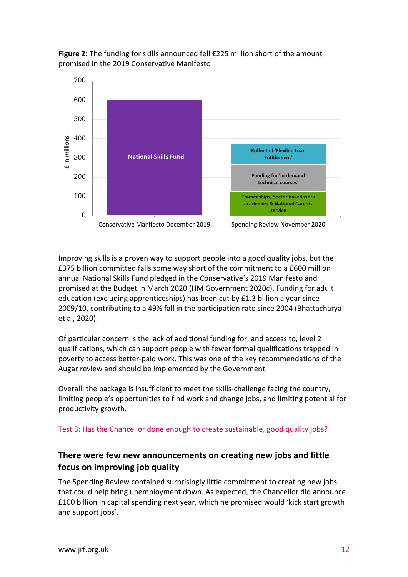



Improving skills is a proven way to support people into a good quality jobs, but the £375 billion committed falls some way short of the commitment to a £600 million annual National Skills Fund pledged in the Conservative's 2019 Manifesto and promised at the Budget in March 2020 (HM Government 2020c). Funding for adult education (excluding apprenticeships) has been cut by £1.3 billion a year since 2009/10, contributing to a 49% fall in the participation rate since 2004 [\(Bhattacharya](https://www.smf.co.uk/people/aveek-bhattacharya/) et al, 2020).

Of particular concern is the lack of additional funding for, and access to, level 2 qualifications, which can support people with fewer formal qualifications trapped in poverty to access better-paid work. This was one of the key recommendations of the Augar review and should be implemented by the Government.

Overall, the package is insufficient to meet the skills-challenge facing the country, limiting people's opportunities to find work and change jobs, and limiting potential for productivity growth.

#### Test 3: Has the Chancellor done enough to create sustainable, good quality jobs?

## **There were few new announcements on creating new jobs and little focus on improving job quality**

The Spending Review contained surprisingly little commitment to creating new jobs that could help bring unemployment down. As expected, the Chancellor did announce £100 billion in capital spending next year, which he promised would 'kick start growth and support jobs'.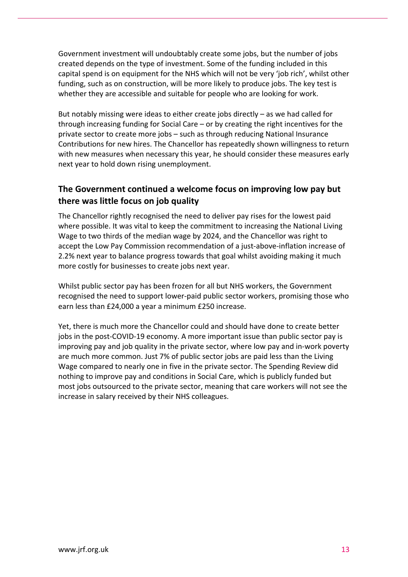Government investment will undoubtably create some jobs, but the number of jobs created depends on the type of investment. Some of the funding included in this capital spend is on equipment for the NHS which will not be very 'job rich', whilst other funding, such as on construction, will be more likely to produce jobs. The key test is whether they are accessible and suitable for people who are looking for work.

But notably missing were ideas to either create jobs directly – as we had called for through increasing funding for Social Care – or by creating the right incentives for the private sector to create more jobs – such as through reducing National Insurance Contributions for new hires. The Chancellor has repeatedly shown willingness to return with new measures when necessary this year, he should consider these measures early next year to hold down rising unemployment.

# **The Government continued a welcome focus on improving low pay but there was little focus on job quality**

The Chancellor rightly recognised the need to deliver pay rises for the lowest paid where possible. It was vital to keep the commitment to increasing the National Living Wage to two thirds of the median wage by 2024, and the Chancellor was right to accept the Low Pay Commission recommendation of a just-above-inflation increase of 2.2% next year to balance progress towards that goal whilst avoiding making it much more costly for businesses to create jobs next year.

Whilst public sector pay has been frozen for all but NHS workers, the Government recognised the need to support lower-paid public sector workers, promising those who earn less than £24,000 a year a minimum £250 increase.

Yet, there is much more the Chancellor could and should have done to create better jobs in the post-COVID-19 economy. A more important issue than public sector pay is improving pay and job quality in the private sector, where low pay and in-work poverty are much more common. Just 7% of public sector jobs are paid less than the Living Wage compared to nearly one in five in the private sector. The Spending Review did nothing to improve pay and conditions in Social Care, which is publicly funded but most jobs outsourced to the private sector, meaning that care workers will not see the increase in salary received by their NHS colleagues.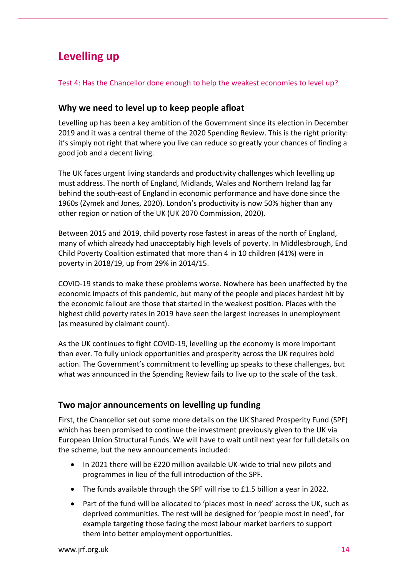# **Levelling up**

#### Test 4: Has the Chancellor done enough to help the weakest economies to level up?

## **Why we need to level up to keep people afloat**

Levelling up has been a key ambition of the Government since its election in December 2019 and it was a central theme of the 2020 Spending Review. This is the right priority: it's simply not right that where you live can reduce so greatly your chances of finding a good job and a decent living.

The UK faces urgent living standards and productivity challenges which levelling up must address. The north of England, Midlands, Wales and Northern Ireland lag far behind the south-east of England in economic performance and have done since the 1960s (Zymek and Jones, 2020). London's productivity is now 50% higher than any other region or nation of the UK (UK 2070 Commission, 2020).

Between 2015 and 2019, child poverty rose fastest in areas of the north of England, many of which already had unacceptably high levels of poverty. In Middlesbrough, End Child Poverty Coalition estimated that more than 4 in 10 children (41%) were in poverty in 2018/19, up from 29% in 2014/15.

COVID-19 stands to make these problems worse. Nowhere has been unaffected by the economic impacts of this pandemic, but many of the people and places hardest hit by the economic fallout are those that started in the weakest position. Places with the highest child poverty rates in 2019 have seen the largest increases in unemployment (as measured by claimant count).

As the UK continues to fight COVID-19, levelling up the economy is more important than ever. To fully unlock opportunities and prosperity across the UK requires bold action. The Government's commitment to levelling up speaks to these challenges, but what was announced in the Spending Review fails to live up to the scale of the task.

## **Two major announcements on levelling up funding**

First, the Chancellor set out some more details on the UK Shared Prosperity Fund (SPF) which has been promised to continue the investment previously given to the UK via European Union Structural Funds. We will have to wait until next year for full details on the scheme, but the new announcements included:

- In 2021 there will be £220 million available UK-wide to trial new pilots and programmes in lieu of the full introduction of the SPF.
- The funds available through the SPF will rise to £1.5 billion a year in 2022.
- Part of the fund will be allocated to 'places most in need' across the UK, such as deprived communities. The rest will be designed for 'people most in need', for example targeting those facing the most labour market barriers to support them into better employment opportunities.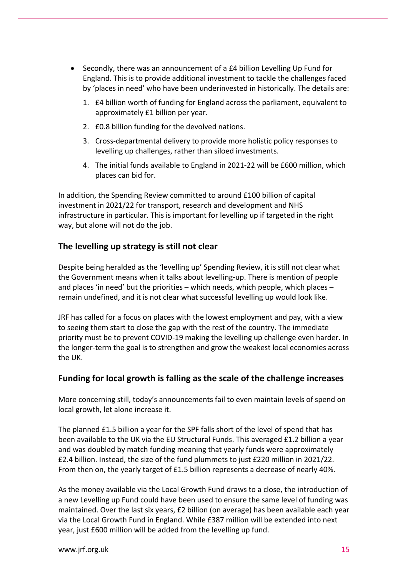- Secondly, there was an announcement of a £4 billion Levelling Up Fund for England. This is to provide additional investment to tackle the challenges faced by 'places in need' who have been underinvested in historically. The details are:
	- 1. £4 billion worth of funding for England across the parliament, equivalent to approximately £1 billion per year.
	- 2. £0.8 billion funding for the devolved nations.
	- 3. Cross-departmental delivery to provide more holistic policy responses to levelling up challenges, rather than siloed investments.
	- 4. The initial funds available to England in 2021-22 will be £600 million, which places can bid for.

In addition, the Spending Review committed to around £100 billion of capital investment in 2021/22 for transport, research and development and NHS infrastructure in particular. This is important for levelling up if targeted in the right way, but alone will not do the job.

## **The levelling up strategy is still not clear**

Despite being heralded as the 'levelling up' Spending Review, it is still not clear what the Government means when it talks about levelling-up. There is mention of people and places 'in need' but the priorities – which needs, which people, which places – remain undefined, and it is not clear what successful levelling up would look like.

JRF has called for a focus on places with the lowest employment and pay, with a view to seeing them start to close the gap with the rest of the country. The immediate priority must be to prevent COVID-19 making the levelling up challenge even harder. In the longer-term the goal is to strengthen and grow the weakest local economies across the UK.

#### **Funding for local growth is falling as the scale of the challenge increases**

More concerning still, today's announcements fail to even maintain levels of spend on local growth, let alone increase it.

The planned £1.5 billion a year for the SPF falls short of the level of spend that has been available to the UK via the EU Structural Funds. This averaged £1.2 billion a year and was doubled by match funding meaning that yearly funds were approximately £2.4 billion. Instead, the size of the fund plummets to just £220 million in 2021/22. From then on, the yearly target of £1.5 billion represents a decrease of nearly 40%.

As the money available via the Local Growth Fund draws to a close, the introduction of a new Levelling up Fund could have been used to ensure the same level of funding was maintained. Over the last six years, £2 billion (on average) has been available each year via the Local Growth Fund in England. While £387 million will be extended into next year, just £600 million will be added from the levelling up fund.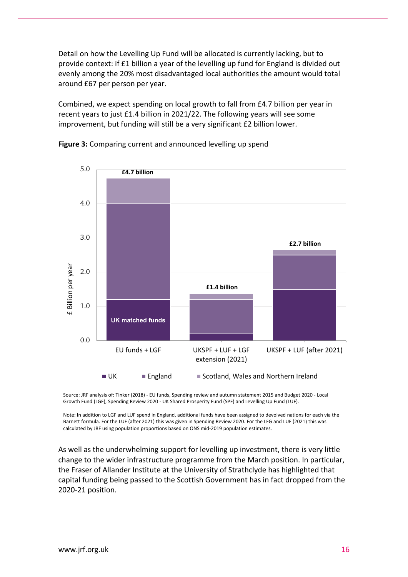Detail on how the Levelling Up Fund will be allocated is currently lacking, but to provide context: if £1 billion a year of the levelling up fund for England is divided out evenly among the 20% most disadvantaged local authorities the amount would total around £67 per person per year.

Combined, we expect spending on local growth to fall from £4.7 billion per year in recent years to just £1.4 billion in 2021/22. The following years will see some improvement, but funding will still be a very significant £2 billion lower.



**Figure 3:** Comparing current and announced levelling up spend

Source: JRF analysis of: Tinker (2018) - EU funds, Spending review and autumn statement 2015 and Budget 2020 - Local Growth Fund (LGF), Spending Review 2020 - UK Shared Prosperity Fund (SPF) and Levelling Up Fund (LUF).

Note: In addition to LGF and LUF spend in England, additional funds have been assigned to devolved nations for each via the Barnett formula. For the LUF (after 2021) this was given in Spending Review 2020. For the LFG and LUF (2021) this was calculated by JRF using population proportions based on ONS mid-2019 population estimates.

As well as the underwhelming support for levelling up investment, there is very little change to the wider infrastructure programme from the March position. In particular, the Fraser of Allander Institute at the University of Strathclyde has highlighted that capital funding being passed to the Scottish Government has in fact dropped from the 2020-21 position.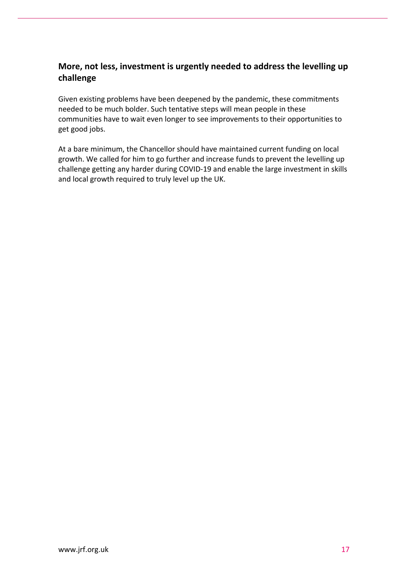# **More, not less, investment is urgently needed to address the levelling up challenge**

Given existing problems have been deepened by the pandemic, these commitments needed to be much bolder. Such tentative steps will mean people in these communities have to wait even longer to see improvements to their opportunities to get good jobs.

At a bare minimum, the Chancellor should have maintained current funding on local growth. We called for him to go further and increase funds to prevent the levelling up challenge getting any harder during COVID-19 and enable the large investment in skills and local growth required to truly level up the UK.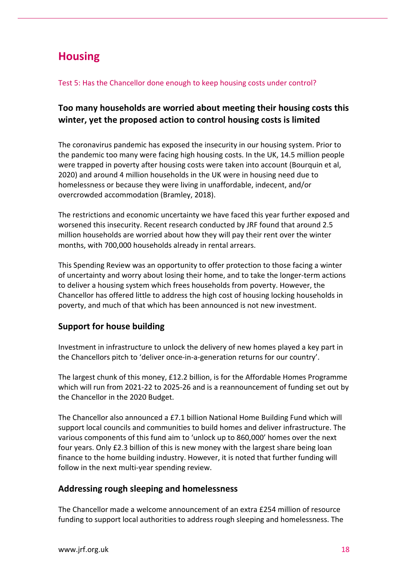# **Housing**

#### Test 5: Has the Chancellor done enough to keep housing costs under control?

# **Too many households are worried about meeting their housing costs this winter, yet the proposed action to control housing costs is limited**

The coronavirus pandemic has exposed the insecurity in our housing system. Prior to the pandemic too many were facing high housing costs. In the UK, 14.5 million people were trapped in poverty after housing costs were taken into account (Bourquin et al, 2020) and around 4 million households in the UK were in housing need due to homelessness or because they were living in unaffordable, indecent, and/or overcrowded accommodation (Bramley, 2018).

The restrictions and economic uncertainty we have faced this year further exposed and worsened this insecurity. Recent research conducted by JRF found that around 2.5 million households are worried about how they will pay their rent over the winter months, with 700,000 households already in rental arrears.

This Spending Review was an opportunity to offer protection to those facing a winter of uncertainty and worry about losing their home, and to take the longer-term actions to deliver a housing system which frees households from poverty. However, the Chancellor has offered little to address the high cost of housing locking households in poverty, and much of that which has been announced is not new investment.

# **Support for house building**

Investment in infrastructure to unlock the delivery of new homes played a key part in the Chancellors pitch to 'deliver once-in-a-generation returns for our country'.

The largest chunk of this money, £12.2 billion, is for the Affordable Homes Programme which will run from 2021-22 to 2025-26 and is a reannouncement of funding set out by the Chancellor in the 2020 Budget.

The Chancellor also announced a £7.1 billion National Home Building Fund which will support local councils and communities to build homes and deliver infrastructure. The various components of this fund aim to 'unlock up to 860,000' homes over the next four years. Only £2.3 billion of this is new money with the largest share being loan finance to the home building industry. However, it is noted that further funding will follow in the next multi-year spending review.

## **Addressing rough sleeping and homelessness**

The Chancellor made a welcome announcement of an extra £254 million of resource funding to support local authorities to address rough sleeping and homelessness. The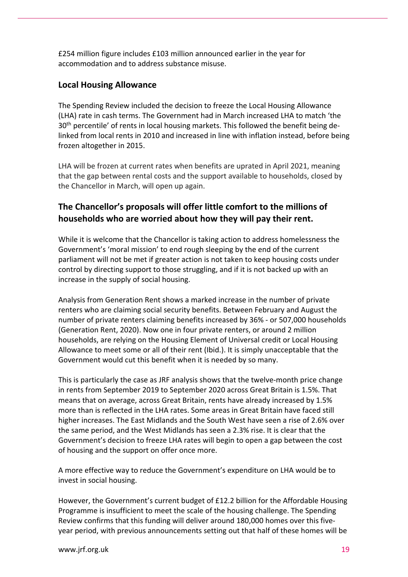£254 million figure includes £103 million announced earlier in the year for accommodation and to address substance misuse.

## **Local Housing Allowance**

The Spending Review included the decision to freeze the Local Housing Allowance (LHA) rate in cash terms. The Government had in March increased LHA to match 'the 30<sup>th</sup> percentile' of rents in local housing markets. This followed the benefit being delinked from local rents in 2010 and increased in line with inflation instead, before being frozen altogether in 2015.

LHA will be frozen at current rates when benefits are uprated in April 2021, meaning that the gap between rental costs and the support available to households, closed by the Chancellor in March, will open up again.

## **The Chancellor's proposals will offer little comfort to the millions of households who are worried about how they will pay their rent.**

While it is welcome that the Chancellor is taking action to address homelessness the Government's 'moral mission' to end rough sleeping by the end of the current parliament will not be met if greater action is not taken to keep housing costs under control by directing support to those struggling, and if it is not backed up with an increase in the supply of social housing.

Analysis from Generation Rent shows a marked increase in the number of private renters who are claiming social security benefits. Between February and August the number of private renters claiming benefits increased by 36% - or 507,000 households (Generation Rent, 2020). Now one in four private renters, or around 2 million households, are relying on the Housing Element of Universal credit or Local Housing Allowance to meet some or all of their rent (Ibid.). It is simply unacceptable that the Government would cut this benefit when it is needed by so many.

This is particularly the case as JRF analysis shows that the twelve-month price change in rents from September 2019 to September 2020 across Great Britain is 1.5%. That means that on average, across Great Britain, rents have already increased by 1.5% more than is reflected in the LHA rates. Some areas in Great Britain have faced still higher increases. The East Midlands and the South West have seen a rise of 2.6% over the same period, and the West Midlands has seen a 2.3% rise. It is clear that the Government's decision to freeze LHA rates will begin to open a gap between the cost of housing and the support on offer once more.

A more effective way to reduce the Government's expenditure on LHA would be to invest in social housing.

However, the Government's current budget of £12.2 billion for the Affordable Housing Programme is insufficient to meet the scale of the housing challenge. The Spending Review confirms that this funding will deliver around 180,000 homes over this fiveyear period, with previous announcements setting out that half of these homes will be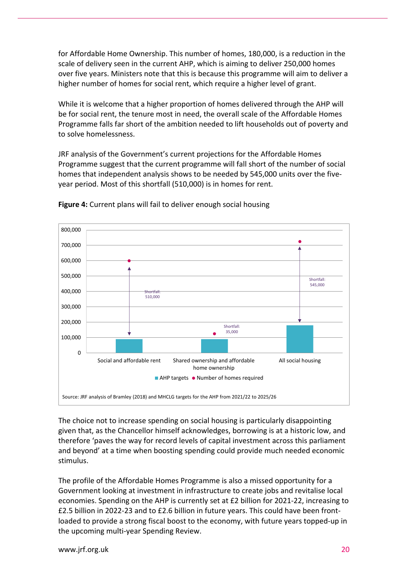for Affordable Home Ownership. This number of homes, 180,000, is a reduction in the scale of delivery seen in the current AHP, which is aiming to deliver 250,000 homes over five years. Ministers note that this is because this programme will aim to deliver a higher number of homes for social rent, which require a higher level of grant.

While it is welcome that a higher proportion of homes delivered through the AHP will be for social rent, the tenure most in need, the overall scale of the Affordable Homes Programme falls far short of the ambition needed to lift households out of poverty and to solve homelessness.

JRF analysis of the Government's current projections for the Affordable Homes Programme suggest that the current programme will fall short of the number of social homes that independent analysis shows to be needed by 545,000 units over the fiveyear period. Most of this shortfall (510,000) is in homes for rent.



**Figure 4:** Current plans will fail to deliver enough social housing

The choice not to increase spending on social housing is particularly disappointing given that, as the Chancellor himself acknowledges, borrowing is at a historic low, and therefore 'paves the way for record levels of capital investment across this parliament and beyond' at a time when boosting spending could provide much needed economic stimulus.

The profile of the Affordable Homes Programme is also a missed opportunity for a Government looking at investment in infrastructure to create jobs and revitalise local economies. Spending on the AHP is currently set at £2 billion for 2021-22, increasing to £2.5 billion in 2022-23 and to £2.6 billion in future years. This could have been frontloaded to provide a strong fiscal boost to the economy, with future years topped-up in the upcoming multi-year Spending Review.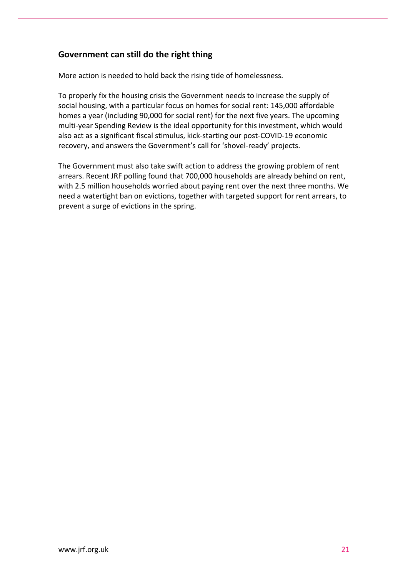## **Government can still do the right thing**

More action is needed to hold back the rising tide of homelessness.

To properly fix the housing crisis the Government needs to increase the supply of social housing, with a particular focus on homes for social rent: 145,000 affordable homes a year (including 90,000 for social rent) for the next five years. The upcoming multi-year Spending Review is the ideal opportunity for this investment, which would also act as a significant fiscal stimulus, kick-starting our post-COVID-19 economic recovery, and answers the Government's call for 'shovel-ready' projects.

The Government must also take swift action to address the growing problem of rent arrears. Recent JRF polling found that 700,000 households are already behind on rent, with 2.5 million households worried about paying rent over the next three months. We need a watertight ban on evictions, together with targeted support for rent arrears, to prevent a surge of evictions in the spring.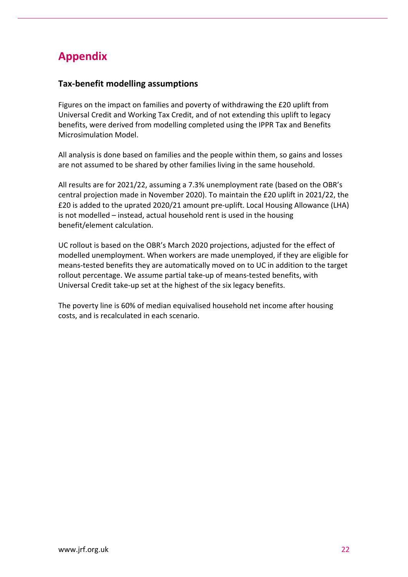# **Appendix**

## **Tax-benefit modelling assumptions**

Figures on the impact on families and poverty of withdrawing the £20 uplift from Universal Credit and Working Tax Credit, and of not extending this uplift to legacy benefits, were derived from modelling completed using the IPPR Tax and Benefits Microsimulation Model.

All analysis is done based on families and the people within them, so gains and losses are not assumed to be shared by other families living in the same household.

All results are for 2021/22, assuming a 7.3% unemployment rate (based on the OBR's central projection made in November 2020). To maintain the £20 uplift in 2021/22, the £20 is added to the uprated 2020/21 amount pre-uplift. Local Housing Allowance (LHA) is not modelled – instead, actual household rent is used in the housing benefit/element calculation.

UC rollout is based on the OBR's March 2020 projections, adjusted for the effect of modelled unemployment. When workers are made unemployed, if they are eligible for means-tested benefits they are automatically moved on to UC in addition to the target rollout percentage. We assume partial take-up of means-tested benefits, with Universal Credit take-up set at the highest of the six legacy benefits.

The poverty line is 60% of median equivalised household net income after housing costs, and is recalculated in each scenario.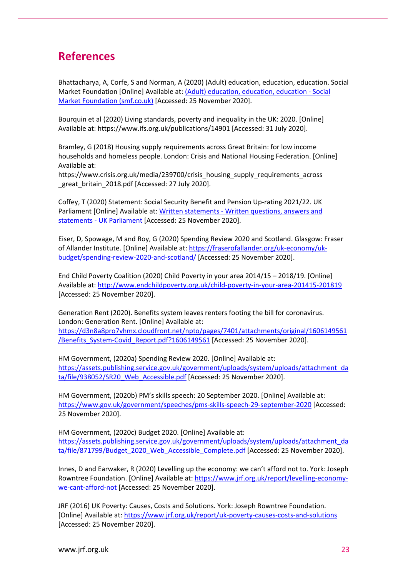# **References**

[Bhattacharya,](https://www.smf.co.uk/people/aveek-bhattacharya/) A, [Corfe,](https://www.smf.co.uk/people/scott-corfe/) S and [Norman,](https://www.smf.co.uk/people/amy-norman/) A (2020) (Adult) education, education, education. Social Market Foundation [Online] Available at: [\(Adult\) education, education, education -](https://www.smf.co.uk/publications/adult-education-2020/) Social [Market Foundation \(smf.co.uk\)](https://www.smf.co.uk/publications/adult-education-2020/) [Accessed: 25 November 2020].

Bourquin et al (2020) Living standards, poverty and inequality in the UK: 2020. [Online] Available at: https://www.ifs.org.uk/publications/14901 [Accessed: 31 July 2020].

Bramley, G (2018) Housing supply requirements across Great Britain: for low income households and homeless people. London: Crisis and National Housing Federation. [Online] Available at:

https://www.crisis.org.uk/media/239700/crisis\_housing\_supply\_requirements\_across great britain 2018.pdf [Accessed: 27 July 2020].

Coffey, T (2020) Statement: Social Security Benefit and Pension Up-rating 2021/22. UK Parliament [Online] Available at: Written statements - [Written questions, answers and](https://questions-statements.parliament.uk/written-statements/detail/2020-11-25/hcws600)  statements - [UK Parliament](https://questions-statements.parliament.uk/written-statements/detail/2020-11-25/hcws600) [Accessed: 25 November 2020].

Eiser, D, Spowage, M and Roy, G (2020) Spending Review 2020 and Scotland. Glasgow: Fraser of Allander Institute. [Online] Available at: [https://fraserofallander.org/uk-economy/uk](https://fraserofallander.org/uk-economy/uk-budget/spending-review-2020-and-scotland/)[budget/spending-review-2020-and-scotland/](https://fraserofallander.org/uk-economy/uk-budget/spending-review-2020-and-scotland/) [Accessed: 25 November 2020].

End Child Poverty Coalition (2020) Child Poverty in your area 2014/15 – 2018/19. [Online] Available at[: http://www.endchildpoverty.org.uk/child-poverty-in-your-area-201415-201819](http://www.endchildpoverty.org.uk/child-poverty-in-your-area-201415-201819) [Accessed: 25 November 2020].

Generation Rent (2020). Benefits system leaves renters footing the bill for coronavirus. London: Generation Rent. [Online] Available at: [https://d3n8a8pro7vhmx.cloudfront.net/npto/pages/7401/attachments/original/1606149561](https://d3n8a8pro7vhmx.cloudfront.net/npto/pages/7401/attachments/original/1606149561/Benefits_System-Covid_Report.pdf?1606149561) [/Benefits\\_System-Covid\\_Report.pdf?1606149561](https://d3n8a8pro7vhmx.cloudfront.net/npto/pages/7401/attachments/original/1606149561/Benefits_System-Covid_Report.pdf?1606149561) [Accessed: 25 November 2020].

HM Government, (2020a) Spending Review 2020. [Online] Available at: [https://assets.publishing.service.gov.uk/government/uploads/system/uploads/attachment\\_da](https://assets.publishing.service.gov.uk/government/uploads/system/uploads/attachment_data/file/938052/SR20_Web_Accessible.pdf) [ta/file/938052/SR20\\_Web\\_Accessible.pdf](https://assets.publishing.service.gov.uk/government/uploads/system/uploads/attachment_data/file/938052/SR20_Web_Accessible.pdf) [Accessed: 25 November 2020].

HM Government, (2020b) PM's skills speech: 20 September 2020. [Online] Available at: <https://www.gov.uk/government/speeches/pms-skills-speech-29-september-2020> [Accessed: 25 November 2020].

HM Government, (2020c) Budget 2020. [Online] Available at: [https://assets.publishing.service.gov.uk/government/uploads/system/uploads/attachment\\_da](https://assets.publishing.service.gov.uk/government/uploads/system/uploads/attachment_data/file/871799/Budget_2020_Web_Accessible_Complete.pdf) [ta/file/871799/Budget\\_2020\\_Web\\_Accessible\\_Complete.pdf](https://assets.publishing.service.gov.uk/government/uploads/system/uploads/attachment_data/file/871799/Budget_2020_Web_Accessible_Complete.pdf) [Accessed: 25 November 2020].

Innes, D and Earwaker, R (2020) Levelling up the economy: we can't afford not to. York: Joseph Rowntree Foundation. [Online] Available at: [https://www.jrf.org.uk/report/levelling-economy](https://www.jrf.org.uk/report/levelling-economy-we-cant-afford-not)[we-cant-afford-not](https://www.jrf.org.uk/report/levelling-economy-we-cant-afford-not) [Accessed: 25 November 2020].

JRF (2016) UK Poverty: Causes, Costs and Solutions. York: Joseph Rowntree Foundation. [Online] Available at:<https://www.jrf.org.uk/report/uk-poverty-causes-costs-and-solutions> [Accessed: 25 November 2020].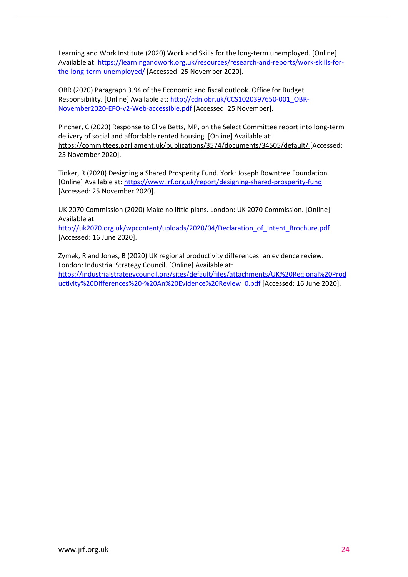Learning and Work Institute (2020) Work and Skills for the long-term unemployed. [Online] Available at[: https://learningandwork.org.uk/resources/research-and-reports/work-skills-for](https://learningandwork.org.uk/resources/research-and-reports/work-skills-for-the-long-term-unemployed/)[the-long-term-unemployed/](https://learningandwork.org.uk/resources/research-and-reports/work-skills-for-the-long-term-unemployed/) [Accessed: 25 November 2020].

OBR (2020) Paragraph 3.94 of the Economic and fiscal outlook. Office for Budget Responsibility. [Online] Available at: [http://cdn.obr.uk/CCS1020397650-001\\_OBR-](http://cdn.obr.uk/CCS1020397650-001_OBR-November2020-EFO-v2-Web-accessible.pdf)[November2020-EFO-v2-Web-accessible.pdf](http://cdn.obr.uk/CCS1020397650-001_OBR-November2020-EFO-v2-Web-accessible.pdf) [Accessed: 25 November].

Pincher, C (2020) Response to Clive Betts, MP, on the Select Committee report into long-term delivery of social and affordable rented housing. [Online] Available at: <https://committees.parliament.uk/publications/3574/documents/34505/default/> [Accessed: 25 November 2020].

Tinker, R (2020) Designing a Shared Prosperity Fund. York: Joseph Rowntree Foundation. [Online] Available at: <https://www.jrf.org.uk/report/designing-shared-prosperity-fund> [Accessed: 25 November 2020].

UK 2070 Commission (2020) Make no little plans. London: UK 2070 Commission. [Online] Available at:

[http://uk2070.org.uk/wpcontent/uploads/2020/04/Declaration\\_of\\_Intent\\_Brochure.pdf](http://uk2070.org.uk/wpcontent/uploads/2020/04/Declaration_of_Intent_Brochure.pdf) [Accessed: 16 June 2020].

Zymek, R and Jones, B (2020) UK regional productivity differences: an evidence review. London: Industrial Strategy Council. [Online] Available at: [https://industrialstrategycouncil.org/sites/default/files/attachments/UK%20Regional%20Prod](https://industrialstrategycouncil.org/sites/default/files/attachments/UK%20Regional%20Productivity%20Differences%20-%20An%20Evidence%20Review_0.pdf) [uctivity%20Differences%20-%20An%20Evidence%20Review\\_0.pdf](https://industrialstrategycouncil.org/sites/default/files/attachments/UK%20Regional%20Productivity%20Differences%20-%20An%20Evidence%20Review_0.pdf) [Accessed: 16 June 2020].